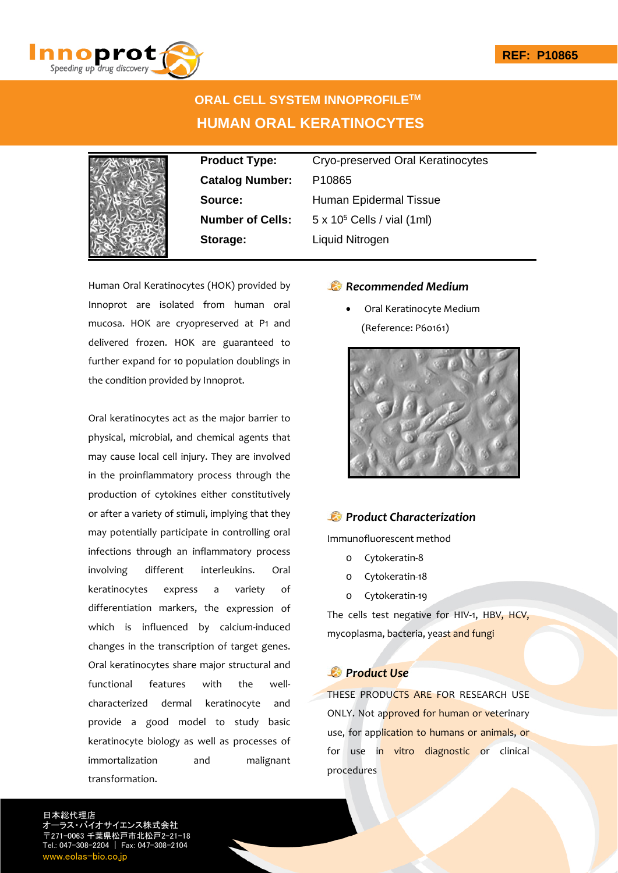

# **ORAL CELL SYSTEM INNOPROFILETM HUMAN ORAL KERATINOCYTES**



**Catalog Number:** P10865 **Storage:** Liquid Nitrogen

**Product Type:** Cryo-preserved Oral Keratinocytes **Source:** Human Epidermal Tissue **Number of Cells:** 5 x 10<sup>5</sup> Cells / vial (1ml)

Human Oral Keratinocytes (HOK) provided by Innoprot are isolated from human oral mucosa. HOK are cryopreserved at P1 and delivered frozen. HOK are guaranteed to further expand for 10 population doublings in the condition provided by Innoprot.

Oral keratinocytes act as the major barrier to physical, microbial, and chemical agents that may cause local cell injury. They are involved in the proinflammatory process through the production of cytokines either constitutively or after a variety of stimuli, implying that they may potentially participate in controlling oral infections through an inflammatory process involving different interleukins. Oral keratinocytes express a variety of differentiation markers, the expression of which is influenced by calcium-induced changes in the transcription of target genes. Oral keratinocytes share major structural and functional features with the well‐ characterized dermal keratinocyte and provide a good model to study basic keratinocyte biology as well as processes of immortalization and malignant transformation.

### *Recommended Medium*

 Oral Keratinocyte Medium (Reference: P60161)



## *Product Characterization*

Immunofluorescent method

- o Cytokeratin‐8
- o Cytokeratin‐18
- o Cytokeratin‐19

The cells test negative for HIV-1, HBV, HCV, mycoplasma, bacteria, yeast and fungi

## *Product Use*

THESE PRODUCTS ARE FOR RESEARCH USE ONLY. Not approved for human or veterinary use, for application to humans or animals, or for use in vitro diagnostic or clinical procedures

日本総代理店 イエンス株式会社 〒271-0063 千葉県松戸市北松戸2-21-18 Tel.: 047-308-2204 | Fax: 047-308-2104 www.eolas-bio.co.jp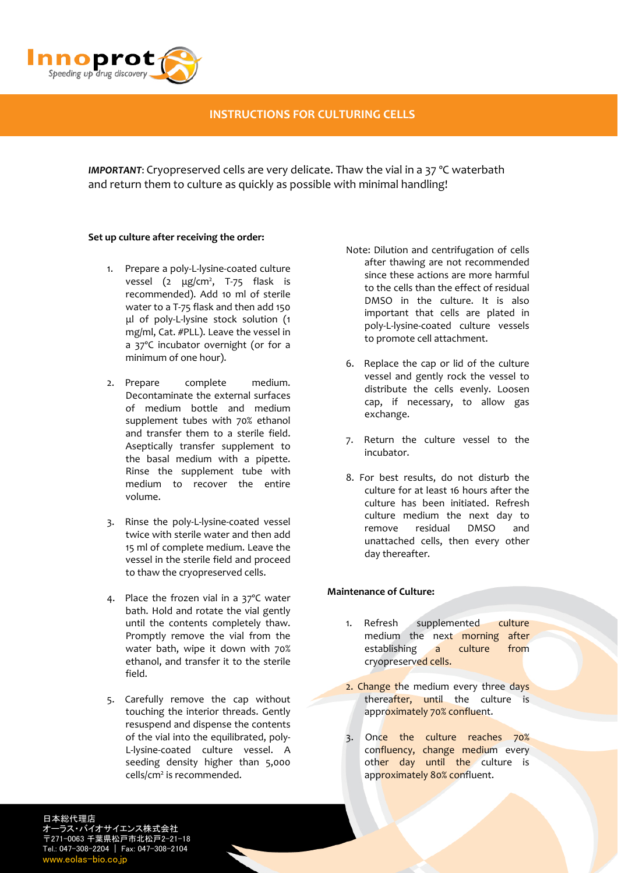

## **INSTRUCTIONS FOR CULTURING CELLS**

*IMPORTANT*: Cryopreserved cells are very delicate. Thaw the vial in a 37 ºC waterbath and return them to culture as quickly as possible with minimal handling!

#### **Set up culture after receiving the order:**

- 1. Prepare a poly‐L‐lysine‐coated culture vessel (2 μg/cm<sup>2</sup>, T-75 flask is recommended). Add 10 ml of sterile water to a T‐75 flask and then add 150 μl of poly‐L‐lysine stock solution (1 mg/ml, Cat. #PLL). Leave the vessel in a 37ºC incubator overnight (or for a minimum of one hour).
- 2. Prepare complete medium. Decontaminate the external surfaces of medium bottle and medium supplement tubes with 70% ethanol and transfer them to a sterile field. Aseptically transfer supplement to the basal medium with a pipette. Rinse the supplement tube with medium to recover the entire volume.
- 3. Rinse the poly‐L‐lysine‐coated vessel twice with sterile water and then add 15 ml of complete medium. Leave the vessel in the sterile field and proceed to thaw the cryopreserved cells.
- 4. Place the frozen vial in a 37ºC water bath. Hold and rotate the vial gently until the contents completely thaw. Promptly remove the vial from the water bath, wipe it down with 70% ethanol, and transfer it to the sterile field.
- 5. Carefully remove the cap without touching the interior threads. Gently resuspend and dispense the contents of the vial into the equilibrated, poly‐ L‐lysine‐coated culture vessel. A seeding density higher than 5,000 cells/cm<sup>2</sup> is recommended.
- Note: Dilution and centrifugation of cells after thawing are not recommended since these actions are more harmful to the cells than the effect of residual DMSO in the culture. It is also important that cells are plated in poly‐L‐lysine‐coated culture vessels to promote cell attachment.
- 6. Replace the cap or lid of the culture vessel and gently rock the vessel to distribute the cells evenly. Loosen cap, if necessary, to allow gas exchange.
- 7. Return the culture vessel to the incubator.
- 8. For best results, do not disturb the culture for at least 16 hours after the culture has been initiated. Refresh culture medium the next day to remove residual DMSO and unattached cells, then every other day thereafter.

#### **Maintenance of Culture:**

- 1. Refresh supplemented culture medium the next morning after establishing a culture from cryopreserved cells.
- 2. Change the medium every three days thereafter, until the culture is approximately 70% confluent.
- 3. Once the culture reaches 70% confluency, change medium every other day until the culture is approximately 80% confluent.

日本総代理店 オーラス・バイオサイエンス株式会社 〒271-0063 千葉県松戸市北松戸2-21-18 Tel.: 047-308-2204 | Fax: 047-308-2104 www.eolas-bio.co.i